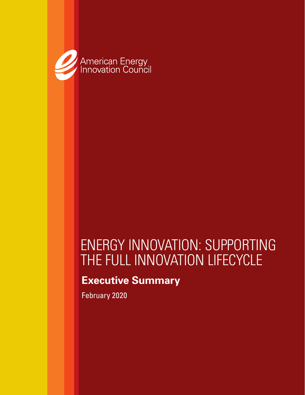

# ENERGY INNOVATION: SUPPORTING THE FULL INNOVATION LIFECYCLE

### **Executive Summary**

February 2020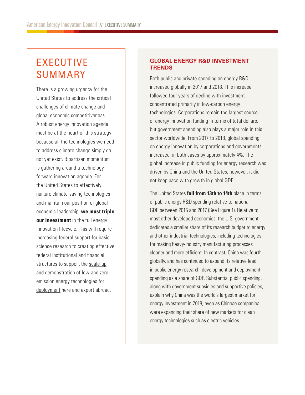## EXECUTIVE SUMMARY

There is a growing urgency for the United States to address the critical challenges of climate change and global economic competitiveness. A robust energy innovation agenda must be at the heart of this strategy because all the technologies we need to address climate change simply do not yet exist. Bipartisan momentum is gathering around a technologyforward innovation agenda. For the United States to effectively nurture climate-saving technologies and maintain our position of global economic leadership, **we must triple our investment** in the full energy innovation lifecycle. This will require increasing federal support for basic science research to creating effective federal institutional and financial structures to support the scale-up and demonstration of low-and zeroemission energy technologies for deployment here and export abroad.

### **GLOBAL ENERGY R&D INVESTMENT TRENDS**

Both public and private spending on energy R&D increased globally in 2017 and 2018. This increase followed four years of decline with investment concentrated primarily in low-carbon energy technologies. Corporations remain the largest source of energy innovation funding in terms of total dollars, but government spending also plays a major role in this sector worldwide. From 2017 to 2018, global spending on energy innovation by corporations and governments increased, in both cases by approximately 4%. The global increase in public funding for energy research was driven by China and the United States; however, it did not keep pace with growth in global GDP.

The United States **fell from 13th to 14th** place in terms of public energy R&D spending relative to national GDP between 2015 and 2017 (See Figure 1). Relative to most other developed economies, the U.S. government dedicates a smaller share of its research budget to energy and other industrial technologies, including technologies for making heavy-industry manufacturing processes cleaner and more efficient. In contrast, China was fourth globally, and has continued to expand its relative lead in public energy research, development and deployment spending as a share of GDP. Substantial public spending, along with government subsidies and supportive policies, explain why China was the world's largest market for energy investment in 2018, even as Chinese companies were expanding their share of new markets for clean energy technologies such as electric vehicles.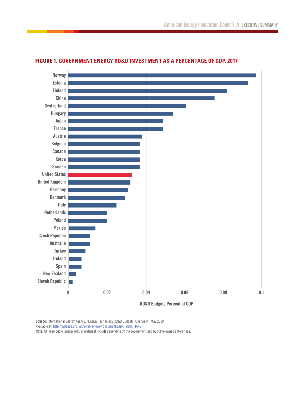

#### **FIGURE 1. GOVERNMENT ENERGY RD&D INVESTMENT AS A PERCENTAGE OF GDP, 2017**

**RD&D Budgets Percent of GDP**

**Source:** International Energy Agency. "Energy Technology RD&D Budgets: Overview." May 2019. Available at: http://wds.iea.org/WDS/tableviewer/document.aspx?FileId=1649

**Note:** Chinese public energy R&D investment includes spending by the government and by state-owned enterprises.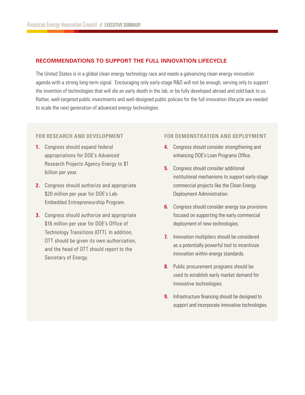#### **RECOMMENDATIONS TO SUPPORT THE FULL INNOVATION LIFECYCLE**

The United States is in a global clean energy technology race and needs a galvanizing clean energy innovation agenda with a strong long-term signal. Encouraging only early-stage R&D will not be enough, serving only to support the invention of technologies that will die an early death in the lab, or be fully developed abroad and sold back to us. Rather, well-targeted public investments and well-designed public policies for the full innovation lifecycle are needed to scale the next generation of advanced energy technologies.

#### **FOR RESEARCH AND DEVELOPMENT**

- **1.** Congress should expand federal appropriations for DOE's Advanced Research Projects Agency-Energy to \$1 billion per year.
- **2.** Congress should authorize and appropriate \$20 million per year for DOE's Lab-Embedded Entrepreneurship Program.
- **3.** Congress should authorize and appropriate \$16 million per year for DOE's Office of Technology Transitions (OTT). In addition, OTT should be given its own authorization, and the head of OTT should report to the Secretary of Energy.

#### **FOR DEMONSTRATION AND DEPLOYMENT**

- **4.** Congress should consider strengthening and enhancing DOE's Loan Programs Office.
- **5.** Congress should consider additional institutional mechanisms to support early-stage commercial projects like the Clean Energy Deployment Administration.
- **6.** Congress should consider energy tax provisions focused on supporting the early commercial deployment of new technologies.
- **7.** Innovation multipliers should be considered as a potentially powerful tool to incentivize innovation within energy standards.
- **8.** Public procurement programs should be used to establish early market demand for innovative technologies.
- **9.** Infrastructure financing should be designed to support and incorporate innovative technologies.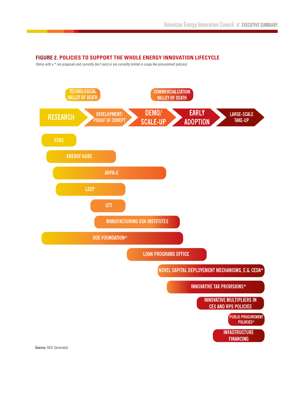#### **FIGURE 2. POLICIES TO SUPPORT THE WHOLE ENERGY INNOVATION LIFECYCLE**

(Items with a \* are proposals and currently don't exist or are currently limited in scope like procurement policies)

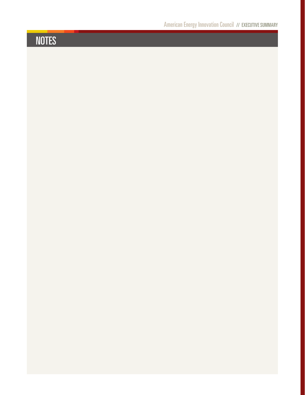# NOTES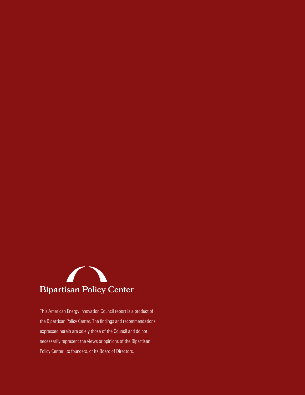

This American Energy Innovation Council report is a product of the Bipartisan Policy Center. The findings and recommendations expressed herein are solely those of the Council and do not necessarily represent the views or opinions of the Bipartisan Policy Center, its founders, or its Board of Directors.